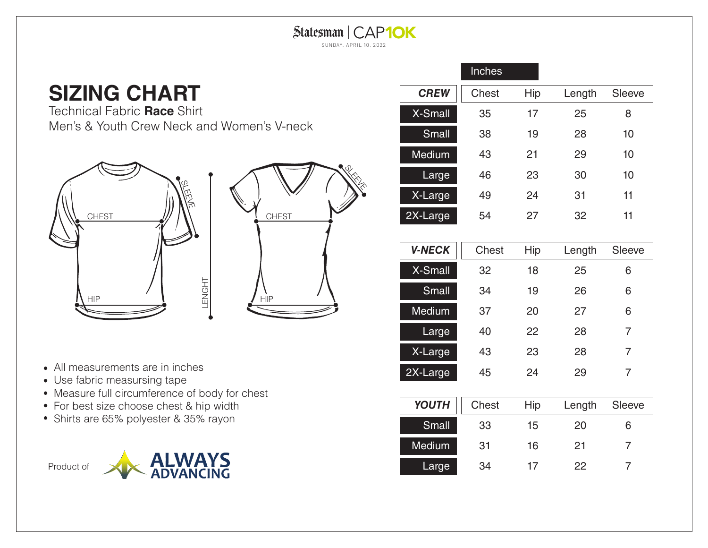## Statesman | CAP10K SUNDAY, APRIL 10, 2022

## **SIZING CHART**

Technical Fabric **Race** Shirt Men's & Youth Crew Neck and Women's V-neck



- All measurements are in inches
- Use fabric measursing tape
- Measure full circumference of body for chest
- For best size choose chest & hip width
- Shirts are 65% polyester & 35% rayon



|                | Inches       |     |        |               |
|----------------|--------------|-----|--------|---------------|
| <b>CREW</b>    | <b>Chest</b> | Hip | Length | <b>Sleeve</b> |
| <b>X-Small</b> | 35           | 17  | 25     | 8             |
| Small          | 38           | 19  | 28     | 10            |
| <b>Medium</b>  | 43           | 21  | 29     | 10            |
| Large          | 46           | 23  | 30     | 10            |
| X-Large        | 49           | 24  | 31     | 11            |
| 2X-Large       | 54           | 27  | 32     | 11            |

| <b>V-NECK</b> | Chest | Hip | Length | <b>Sleeve</b> |
|---------------|-------|-----|--------|---------------|
| X-Small       | 32    | 18  | 25     | 6             |
| Small         | 34    | 19  | 26     | 6             |
| <b>Medium</b> | 37    | 20  | 27     | 6             |
| Large         | 40    | 22  | 28     | 7             |
| X-Large       | 43    | 23  | 28     | 7             |
| 2X-Large      | 45    | 24  | 29     | 7             |

| <b>YOUTH</b>  | Chest | Hip | Length | Sleeve |
|---------------|-------|-----|--------|--------|
| Small         | 33    | 15  | 20     | ห      |
| <b>Medium</b> | 31    | 16  | 21     |        |
| Large         | 34    | 17  | 22     |        |